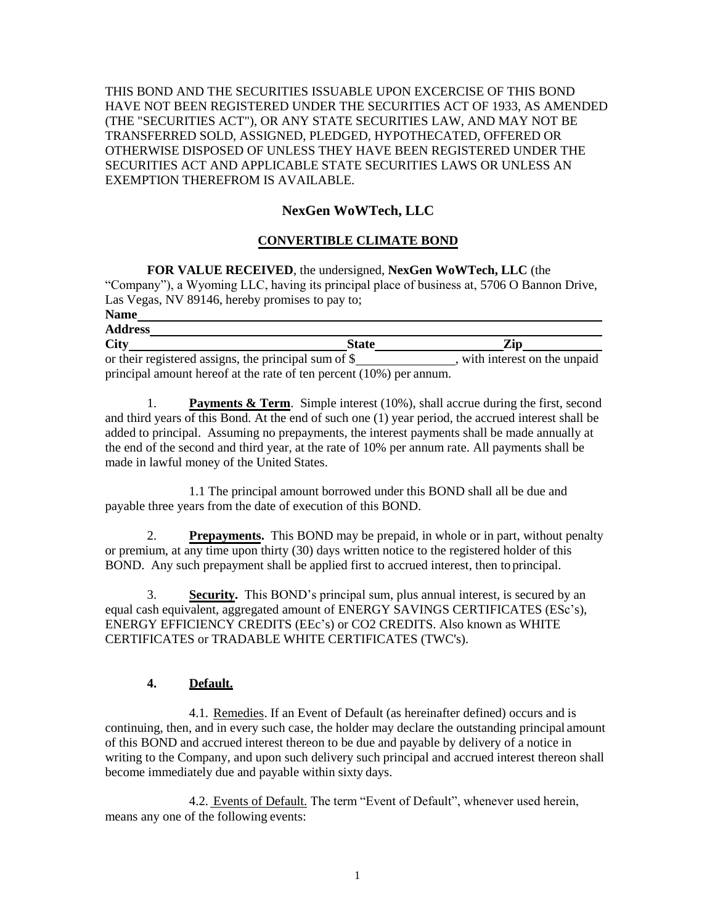THIS BOND AND THE SECURITIES ISSUABLE UPON EXCERCISE OF THIS BOND HAVE NOT BEEN REGISTERED UNDER THE SECURITIES ACT OF 1933, AS AMENDED (THE "SECURITIES ACT"), OR ANY STATE SECURITIES LAW, AND MAY NOT BE TRANSFERRED SOLD, ASSIGNED, PLEDGED, HYPOTHECATED, OFFERED OR OTHERWISE DISPOSED OF UNLESS THEY HAVE BEEN REGISTERED UNDER THE SECURITIES ACT AND APPLICABLE STATE SECURITIES LAWS OR UNLESS AN EXEMPTION THEREFROM IS AVAILABLE.

# **NexGen WoWTech, LLC**

### **CONVERTIBLE CLIMATE BOND**

**FOR VALUE RECEIVED**, the undersigned, **NexGen WoWTech, LLC** (the "Company"), a Wyoming LLC, having its principal place of business at, 5706 O Bannon Drive, Las Vegas, NV 89146, hereby promises to pay to; **Name** 

| лаше                                                                   |              |                             |
|------------------------------------------------------------------------|--------------|-----------------------------|
| <b>Address</b>                                                         |              |                             |
| <b>City</b>                                                            | <b>State</b> | Zin                         |
| or their registered assigns, the principal sum of \$_                  |              | with interest on the unpaid |
| principal amount hereof at the rate of ten percent $(10\%)$ per annum. |              |                             |

1. **Payments & Term**. Simple interest (10%), shall accrue during the first, second and third years of this Bond. At the end of such one (1) year period, the accrued interest shall be added to principal. Assuming no prepayments, the interest payments shall be made annually at the end of the second and third year, at the rate of 10% per annum rate. All payments shall be made in lawful money of the United States.

1.1 The principal amount borrowed under this BOND shall all be due and payable three years from the date of execution of this BOND.

2. **Prepayments.** This BOND may be prepaid, in whole or in part, without penalty or premium, at any time upon thirty (30) days written notice to the registered holder of this BOND. Any such prepayment shall be applied first to accrued interest, then to principal.

3. **Security.** This BOND's principal sum, plus annual interest, is secured by an equal cash equivalent, aggregated amount of ENERGY SAVINGS CERTIFICATES (ESc's), ENERGY EFFICIENCY CREDITS (EEc's) or CO2 CREDITS. Also known as WHITE CERTIFICATES or TRADABLE WHITE CERTIFICATES (TWC's).

### **4. Default.**

4.1. Remedies. If an Event of Default (as hereinafter defined) occurs and is continuing, then, and in every such case, the holder may declare the outstanding principal amount of this BOND and accrued interest thereon to be due and payable by delivery of a notice in writing to the Company, and upon such delivery such principal and accrued interest thereon shall become immediately due and payable within sixty days.

4.2. Events of Default. The term "Event of Default", whenever used herein, means any one of the following events: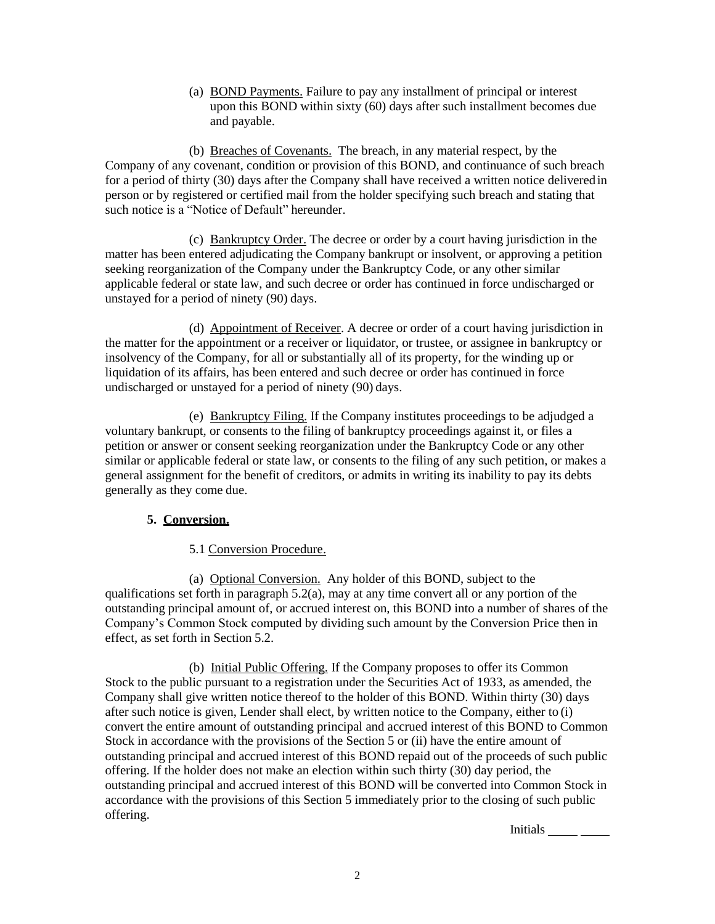(a) BOND Payments. Failure to pay any installment of principal or interest upon this BOND within sixty (60) days after such installment becomes due and payable.

(b) Breaches of Covenants. The breach, in any material respect, by the Company of any covenant, condition or provision of this BOND, and continuance of such breach for a period of thirty (30) days after the Company shall have received a written notice deliveredin person or by registered or certified mail from the holder specifying such breach and stating that such notice is a "Notice of Default" hereunder.

(c) Bankruptcy Order. The decree or order by a court having jurisdiction in the matter has been entered adjudicating the Company bankrupt or insolvent, or approving a petition seeking reorganization of the Company under the Bankruptcy Code, or any other similar applicable federal or state law, and such decree or order has continued in force undischarged or unstayed for a period of ninety (90) days.

(d) Appointment of Receiver. A decree or order of a court having jurisdiction in the matter for the appointment or a receiver or liquidator, or trustee, or assignee in bankruptcy or insolvency of the Company, for all or substantially all of its property, for the winding up or liquidation of its affairs, has been entered and such decree or order has continued in force undischarged or unstayed for a period of ninety (90) days.

(e) Bankruptcy Filing. If the Company institutes proceedings to be adjudged a voluntary bankrupt, or consents to the filing of bankruptcy proceedings against it, or files a petition or answer or consent seeking reorganization under the Bankruptcy Code or any other similar or applicable federal or state law, or consents to the filing of any such petition, or makes a general assignment for the benefit of creditors, or admits in writing its inability to pay its debts generally as they come due.

## **5. Conversion.**

## 5.1 Conversion Procedure.

(a) Optional Conversion. Any holder of this BOND, subject to the qualifications set forth in paragraph 5.2(a), may at any time convert all or any portion of the outstanding principal amount of, or accrued interest on, this BOND into a number of shares of the Company's Common Stock computed by dividing such amount by the Conversion Price then in effect, as set forth in Section 5.2.

(b) Initial Public Offering. If the Company proposes to offer its Common Stock to the public pursuant to a registration under the Securities Act of 1933, as amended, the Company shall give written notice thereof to the holder of this BOND. Within thirty (30) days after such notice is given, Lender shall elect, by written notice to the Company, either to (i) convert the entire amount of outstanding principal and accrued interest of this BOND to Common Stock in accordance with the provisions of the Section 5 or (ii) have the entire amount of outstanding principal and accrued interest of this BOND repaid out of the proceeds of such public offering. If the holder does not make an election within such thirty (30) day period, the outstanding principal and accrued interest of this BOND will be converted into Common Stock in accordance with the provisions of this Section 5 immediately prior to the closing of such public offering.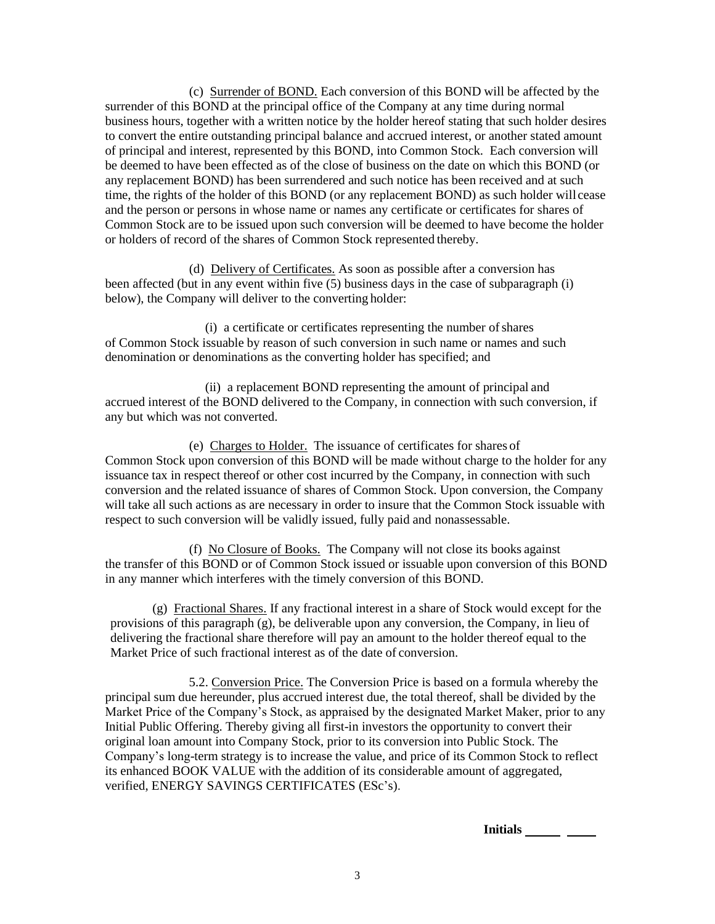(c) Surrender of BOND. Each conversion of this BOND will be affected by the surrender of this BOND at the principal office of the Company at any time during normal business hours, together with a written notice by the holder hereof stating that such holder desires to convert the entire outstanding principal balance and accrued interest, or another stated amount of principal and interest, represented by this BOND, into Common Stock. Each conversion will be deemed to have been effected as of the close of business on the date on which this BOND (or any replacement BOND) has been surrendered and such notice has been received and at such time, the rights of the holder of this BOND (or any replacement BOND) as such holder will cease and the person or persons in whose name or names any certificate or certificates for shares of Common Stock are to be issued upon such conversion will be deemed to have become the holder or holders of record of the shares of Common Stock represented thereby.

(d) Delivery of Certificates. As soon as possible after a conversion has been affected (but in any event within five (5) business days in the case of subparagraph (i) below), the Company will deliver to the converting holder:

(i) a certificate or certificates representing the number of shares of Common Stock issuable by reason of such conversion in such name or names and such denomination or denominations as the converting holder has specified; and

(ii) a replacement BOND representing the amount of principal and accrued interest of the BOND delivered to the Company, in connection with such conversion, if any but which was not converted.

(e) Charges to Holder. The issuance of certificates for shares of Common Stock upon conversion of this BOND will be made without charge to the holder for any issuance tax in respect thereof or other cost incurred by the Company, in connection with such conversion and the related issuance of shares of Common Stock. Upon conversion, the Company will take all such actions as are necessary in order to insure that the Common Stock issuable with respect to such conversion will be validly issued, fully paid and nonassessable.

(f) No Closure of Books. The Company will not close its books against the transfer of this BOND or of Common Stock issued or issuable upon conversion of this BOND in any manner which interferes with the timely conversion of this BOND.

(g) Fractional Shares. If any fractional interest in a share of Stock would except for the provisions of this paragraph (g), be deliverable upon any conversion, the Company, in lieu of delivering the fractional share therefore will pay an amount to the holder thereof equal to the Market Price of such fractional interest as of the date of conversion.

5.2. Conversion Price. The Conversion Price is based on a formula whereby the principal sum due hereunder, plus accrued interest due, the total thereof, shall be divided by the Market Price of the Company's Stock, as appraised by the designated Market Maker, prior to any Initial Public Offering. Thereby giving all first-in investors the opportunity to convert their original loan amount into Company Stock, prior to its conversion into Public Stock. The Company's long-term strategy is to increase the value, and price of its Common Stock to reflect its enhanced BOOK VALUE with the addition of its considerable amount of aggregated, verified, ENERGY SAVINGS CERTIFICATES (ESc's).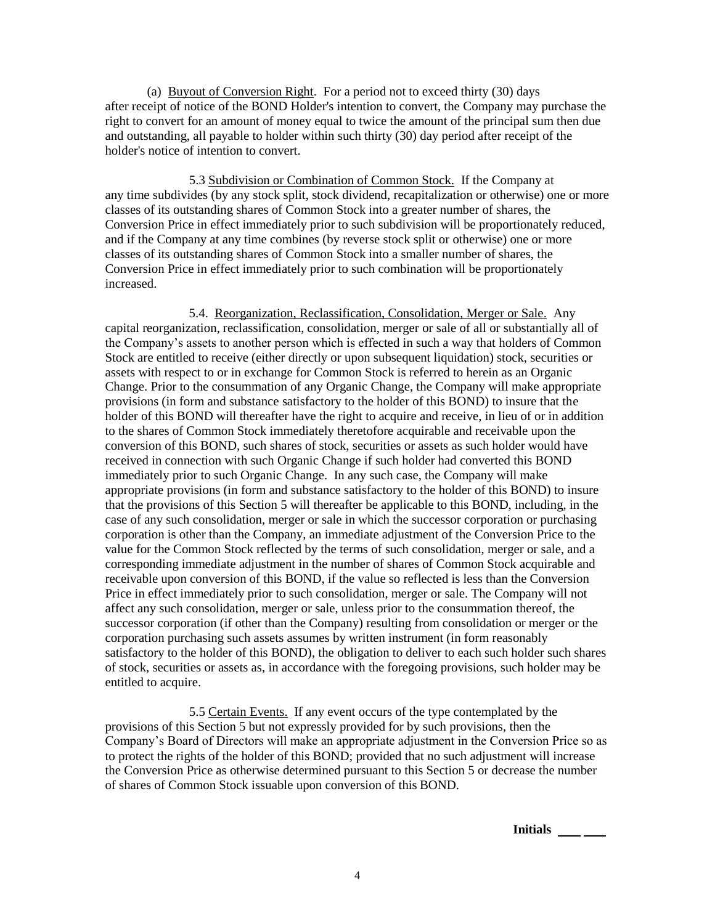(a) Buyout of Conversion Right. For a period not to exceed thirty (30) days after receipt of notice of the BOND Holder's intention to convert, the Company may purchase the right to convert for an amount of money equal to twice the amount of the principal sum then due and outstanding, all payable to holder within such thirty (30) day period after receipt of the holder's notice of intention to convert.

5.3 Subdivision or Combination of Common Stock. If the Company at any time subdivides (by any stock split, stock dividend, recapitalization or otherwise) one or more classes of its outstanding shares of Common Stock into a greater number of shares, the Conversion Price in effect immediately prior to such subdivision will be proportionately reduced, and if the Company at any time combines (by reverse stock split or otherwise) one or more classes of its outstanding shares of Common Stock into a smaller number of shares, the Conversion Price in effect immediately prior to such combination will be proportionately increased.

5.4. Reorganization, Reclassification, Consolidation, Merger or Sale. Any capital reorganization, reclassification, consolidation, merger or sale of all or substantially all of the Company's assets to another person which is effected in such a way that holders of Common Stock are entitled to receive (either directly or upon subsequent liquidation) stock, securities or assets with respect to or in exchange for Common Stock is referred to herein as an Organic Change. Prior to the consummation of any Organic Change, the Company will make appropriate provisions (in form and substance satisfactory to the holder of this BOND) to insure that the holder of this BOND will thereafter have the right to acquire and receive, in lieu of or in addition to the shares of Common Stock immediately theretofore acquirable and receivable upon the conversion of this BOND, such shares of stock, securities or assets as such holder would have received in connection with such Organic Change if such holder had converted this BOND immediately prior to such Organic Change. In any such case, the Company will make appropriate provisions (in form and substance satisfactory to the holder of this BOND) to insure that the provisions of this Section 5 will thereafter be applicable to this BOND, including, in the case of any such consolidation, merger or sale in which the successor corporation or purchasing corporation is other than the Company, an immediate adjustment of the Conversion Price to the value for the Common Stock reflected by the terms of such consolidation, merger or sale, and a corresponding immediate adjustment in the number of shares of Common Stock acquirable and receivable upon conversion of this BOND, if the value so reflected is less than the Conversion Price in effect immediately prior to such consolidation, merger or sale. The Company will not affect any such consolidation, merger or sale, unless prior to the consummation thereof, the successor corporation (if other than the Company) resulting from consolidation or merger or the corporation purchasing such assets assumes by written instrument (in form reasonably satisfactory to the holder of this BOND), the obligation to deliver to each such holder such shares of stock, securities or assets as, in accordance with the foregoing provisions, such holder may be entitled to acquire.

5.5 Certain Events. If any event occurs of the type contemplated by the provisions of this Section 5 but not expressly provided for by such provisions, then the Company's Board of Directors will make an appropriate adjustment in the Conversion Price so as to protect the rights of the holder of this BOND; provided that no such adjustment will increase the Conversion Price as otherwise determined pursuant to this Section 5 or decrease the number of shares of Common Stock issuable upon conversion of this BOND.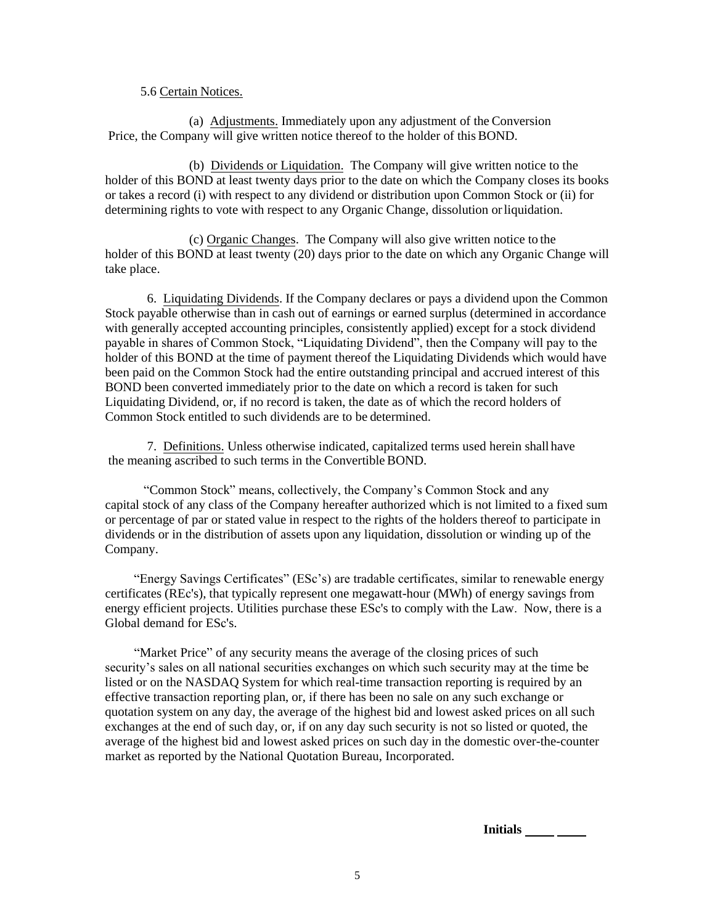#### 5.6 Certain Notices.

(a) Adjustments. Immediately upon any adjustment of the Conversion Price, the Company will give written notice thereof to the holder of this BOND.

(b) Dividends or Liquidation. The Company will give written notice to the holder of this BOND at least twenty days prior to the date on which the Company closes its books or takes a record (i) with respect to any dividend or distribution upon Common Stock or (ii) for determining rights to vote with respect to any Organic Change, dissolution or liquidation.

(c) Organic Changes. The Company will also give written notice to the holder of this BOND at least twenty (20) days prior to the date on which any Organic Change will take place.

6. Liquidating Dividends. If the Company declares or pays a dividend upon the Common Stock payable otherwise than in cash out of earnings or earned surplus (determined in accordance with generally accepted accounting principles, consistently applied) except for a stock dividend payable in shares of Common Stock, "Liquidating Dividend", then the Company will pay to the holder of this BOND at the time of payment thereof the Liquidating Dividends which would have been paid on the Common Stock had the entire outstanding principal and accrued interest of this BOND been converted immediately prior to the date on which a record is taken for such Liquidating Dividend, or, if no record is taken, the date as of which the record holders of Common Stock entitled to such dividends are to be determined.

7. Definitions. Unless otherwise indicated, capitalized terms used herein shall have the meaning ascribed to such terms in the Convertible BOND.

"Common Stock" means, collectively, the Company's Common Stock and any capital stock of any class of the Company hereafter authorized which is not limited to a fixed sum or percentage of par or stated value in respect to the rights of the holders thereof to participate in dividends or in the distribution of assets upon any liquidation, dissolution or winding up of the Company.

"Energy Savings Certificates" (ESc's) are tradable certificates, similar to renewable energy certificates (REc's), that typically represent one megawatt-hour (MWh) of energy savings from energy efficient projects. Utilities purchase these ESc's to comply with the Law. Now, there is a Global demand for ESc's.

"Market Price" of any security means the average of the closing prices of such security's sales on all national securities exchanges on which such security may at the time be listed or on the NASDAQ System for which real-time transaction reporting is required by an effective transaction reporting plan, or, if there has been no sale on any such exchange or quotation system on any day, the average of the highest bid and lowest asked prices on all such exchanges at the end of such day, or, if on any day such security is not so listed or quoted, the average of the highest bid and lowest asked prices on such day in the domestic over-the-counter market as reported by the National Quotation Bureau, Incorporated.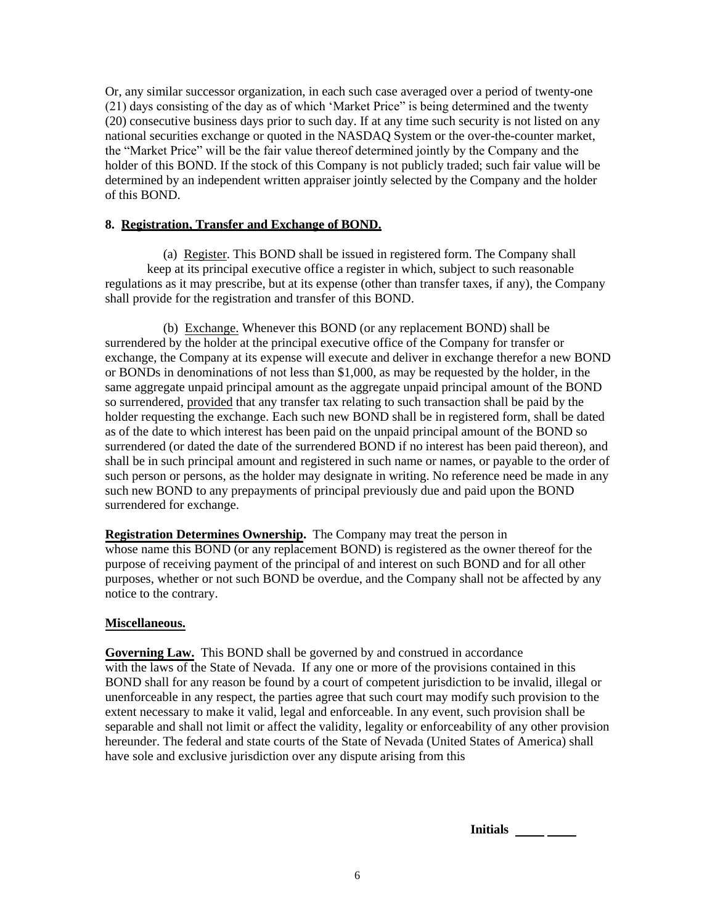Or, any similar successor organization, in each such case averaged over a period of twenty-one (21) days consisting of the day as of which 'Market Price" is being determined and the twenty (20) consecutive business days prior to such day. If at any time such security is not listed on any national securities exchange or quoted in the NASDAQ System or the over-the-counter market, the "Market Price" will be the fair value thereof determined jointly by the Company and the holder of this BOND. If the stock of this Company is not publicly traded; such fair value will be determined by an independent written appraiser jointly selected by the Company and the holder of this BOND.

#### **8. Registration, Transfer and Exchange of BOND.**

(a) Register. This BOND shall be issued in registered form. The Company shall keep at its principal executive office a register in which, subject to such reasonable regulations as it may prescribe, but at its expense (other than transfer taxes, if any), the Company shall provide for the registration and transfer of this BOND.

(b) Exchange. Whenever this BOND (or any replacement BOND) shall be surrendered by the holder at the principal executive office of the Company for transfer or exchange, the Company at its expense will execute and deliver in exchange therefor a new BOND or BONDs in denominations of not less than \$1,000, as may be requested by the holder, in the same aggregate unpaid principal amount as the aggregate unpaid principal amount of the BOND so surrendered, provided that any transfer tax relating to such transaction shall be paid by the holder requesting the exchange. Each such new BOND shall be in registered form, shall be dated as of the date to which interest has been paid on the unpaid principal amount of the BOND so surrendered (or dated the date of the surrendered BOND if no interest has been paid thereon), and shall be in such principal amount and registered in such name or names, or payable to the order of such person or persons, as the holder may designate in writing. No reference need be made in any such new BOND to any prepayments of principal previously due and paid upon the BOND surrendered for exchange.

**Registration Determines Ownership.** The Company may treat the person in whose name this BOND (or any replacement BOND) is registered as the owner thereof for the purpose of receiving payment of the principal of and interest on such BOND and for all other purposes, whether or not such BOND be overdue, and the Company shall not be affected by any notice to the contrary.

#### **Miscellaneous.**

**Governing Law.** This BOND shall be governed by and construed in accordance with the laws of the State of Nevada. If any one or more of the provisions contained in this BOND shall for any reason be found by a court of competent jurisdiction to be invalid, illegal or unenforceable in any respect, the parties agree that such court may modify such provision to the extent necessary to make it valid, legal and enforceable. In any event, such provision shall be separable and shall not limit or affect the validity, legality or enforceability of any other provision hereunder. The federal and state courts of the State of Nevada (United States of America) shall have sole and exclusive jurisdiction over any dispute arising from this